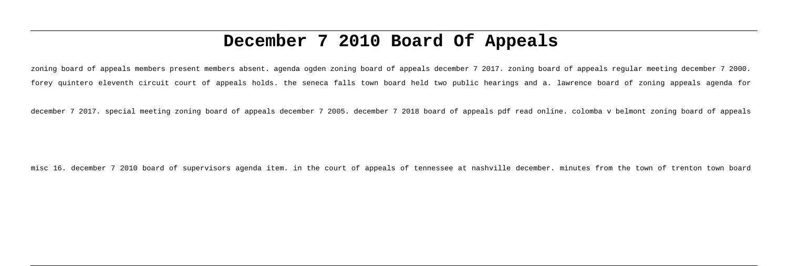# **December 7 2010 Board Of Appeals**

zoning board of appeals members present members absent. agenda ogden zoning board of appeals december 7 2017. zoning board of appeals regular meeting december 7 2000. forey quintero eleventh circuit court of appeals holds. the seneca falls town board held two public hearings and a. lawrence board of zoning appeals agenda for

december 7 2017. special meeting zoning board of appeals december 7 2005. december 7 2018 board of appeals pdf read online. colomba v belmont zoning board of appeals

misc 16. december 7 2010 board of supervisors agenda item. in the court of appeals of tennessee at nashville december. minutes from the town of trenton town board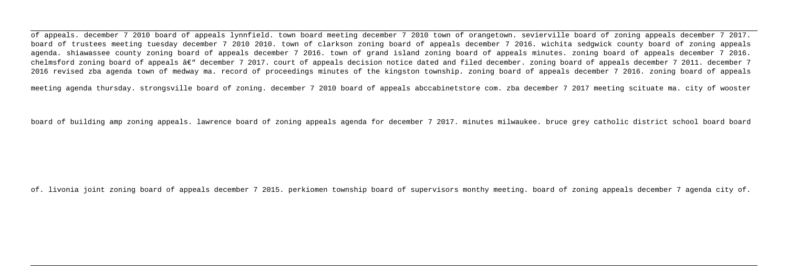of appeals. december 7 2010 board of appeals lynnfield. town board meeting december 7 2010 town of orangetown. sevierville board of zoning appeals december 7 2017. board of trustees meeting tuesday december 7 2010 2010. town of clarkson zoning board of appeals december 7 2016. wichita sedgwick county board of zoning appeals agenda. shiawassee county zoning board of appeals december 7 2016. town of grand island zoning board of appeals minutes. zoning board of appeals december 7 2016. chelmsford zoning board of appeals âe" december 7 2017, court of appeals decision notice dated and filed december, zoning board of appeals december 7 2011. december 7 2016 revised zba agenda town of medway ma. record of proceedings minutes of the kingston township. zoning board of appeals december 7 2016. zoning board of appeals

meeting agenda thursday. strongsville board of zoning. december 7 2010 board of appeals abccabinetstore com. zba december 7 2017 meeting scituate ma. city of wooster

board of building amp zoning appeals. lawrence board of zoning appeals agenda for december 7 2017. minutes milwaukee. bruce grey catholic district school board board

of. livonia joint zoning board of appeals december 7 2015. perkiomen township board of supervisors monthy meeting. board of zoning appeals december 7 agenda city of.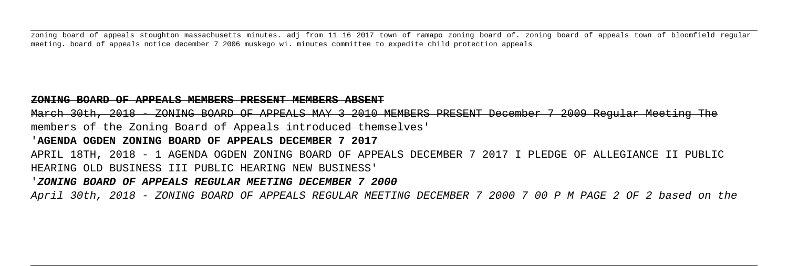zoning board of appeals stoughton massachusetts minutes. adj from 11 16 2017 town of ramapo zoning board of. zoning board of appeals town of bloomfield regular meeting. board of appeals notice december 7 2006 muskego wi. minutes committee to expedite child protection appeals

#### **ZONING BOARD OF APPEALS MEMBERS PRESENT MEMBERS ABSENT**

March 30th, 2018 - ZONING BOARD OF APPEALS MAY 3 2010 MEMBERS PRESENT December 7 2009 Regular Meeting members of the Zoning Board of Appeals introduced themselves'

'**AGENDA OGDEN ZONING BOARD OF APPEALS DECEMBER 7 2017**

APRIL 18TH, 2018 - 1 AGENDA OGDEN ZONING BOARD OF APPEALS DECEMBER 7 2017 I PLEDGE OF ALLEGIANCE II PUBLIC HEARING OLD BUSINESS III PUBLIC HEARING NEW BUSINESS'

#### '**ZONING BOARD OF APPEALS REGULAR MEETING DECEMBER 7 2000**

April 30th, 2018 - ZONING BOARD OF APPEALS REGULAR MEETING DECEMBER 7 2000 7 00 P M PAGE 2 OF 2 based on the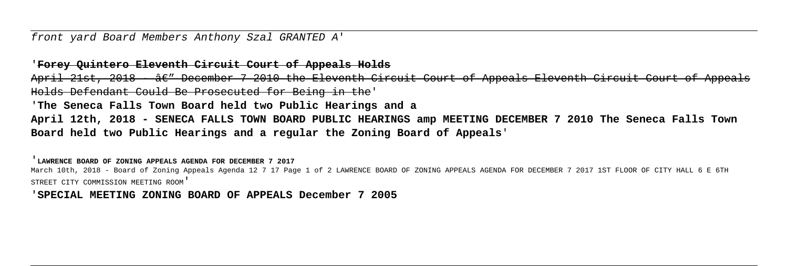front yard Board Members Anthony Szal GRANTED A'

'**Forey Quintero Eleventh Circuit Court of Appeals Holds**

April 21st, 2018 - *â€"* December 7 2010 the Eleventh Circuit Court of Appeals Eleventh Circuit Court of App Holds Defendant Could Be Prosecuted for Being in the'

'**The Seneca Falls Town Board held two Public Hearings and a**

**April 12th, 2018 - SENECA FALLS TOWN BOARD PUBLIC HEARINGS amp MEETING DECEMBER 7 2010 The Seneca Falls Town Board held two Public Hearings and a regular the Zoning Board of Appeals**'

'**LAWRENCE BOARD OF ZONING APPEALS AGENDA FOR DECEMBER 7 2017**

March 10th, 2018 - Board of Zoning Appeals Agenda 12 7 17 Page 1 of 2 LAWRENCE BOARD OF ZONING APPEALS AGENDA FOR DECEMBER 7 2017 1ST FLOOR OF CITY HALL 6 E 6TH STREET CITY COMMISSION MEETING ROOM'

'**SPECIAL MEETING ZONING BOARD OF APPEALS December 7 2005**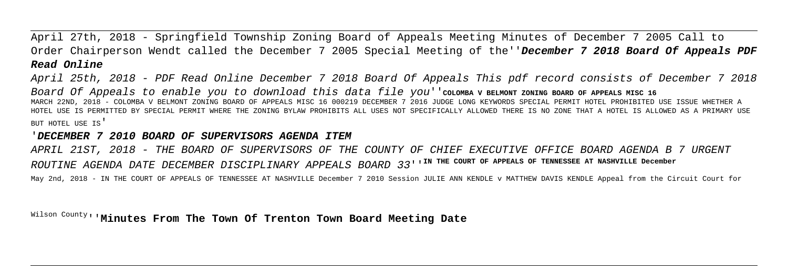April 27th, 2018 - Springfield Township Zoning Board of Appeals Meeting Minutes of December 7 2005 Call to Order Chairperson Wendt called the December 7 2005 Special Meeting of the''**December 7 2018 Board Of Appeals PDF Read Online**

April 25th, 2018 - PDF Read Online December 7 2018 Board Of Appeals This pdf record consists of December 7 2018 Board Of Appeals to enable you to download this data file you''coLOMBA V BELMONT ZONING BOARD OF APPEALS MISC 16 MARCH 22ND, 2018 - COLOMBA V BELMONT ZONING BOARD OF APPEALS MISC 16 000219 DECEMBER 7 2016 JUDGE LONG KEYWORDS SPECIAL PERMIT HOTEL PROHIBITED USE ISSUE WHETHER A HOTEL USE IS PERMITTED BY SPECIAL PERMIT WHERE THE ZONING BYLAW PROHIBITS ALL USES NOT SPECIFICALLY ALLOWED THERE IS NO ZONE THAT A HOTEL IS ALLOWED AS A PRIMARY USE BUT HOTEL USE IS'

#### '**DECEMBER 7 2010 BOARD OF SUPERVISORS AGENDA ITEM**

APRIL 21ST, 2018 - THE BOARD OF SUPERVISORS OF THE COUNTY OF CHIEF EXECUTIVE OFFICE BOARD AGENDA B 7 URGENT ROUTINE AGENDA DATE DECEMBER DISCIPLINARY APPEALS BOARD 33''**IN THE COURT OF APPEALS OF TENNESSEE AT NASHVILLE December**

May 2nd, 2018 - IN THE COURT OF APPEALS OF TENNESSEE AT NASHVILLE December 7 2010 Session JULIE ANN KENDLE v MATTHEW DAVIS KENDLE Appeal from the Circuit Court for

Wilson County''**Minutes From The Town Of Trenton Town Board Meeting Date**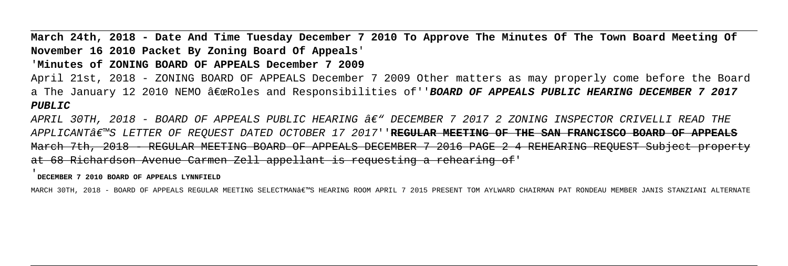**March 24th, 2018 - Date And Time Tuesday December 7 2010 To Approve The Minutes Of The Town Board Meeting Of November 16 2010 Packet By Zoning Board Of Appeals**'

# '**Minutes of ZONING BOARD OF APPEALS December 7 2009**

April 21st, 2018 - ZONING BOARD OF APPEALS December 7 2009 Other matters as may properly come before the Board a The January 12 2010 NEMO "Roles and Responsibilities of''BOARD OF APPEALS PUBLIC HEARING DECEMBER 7 2017 **PUBLIC**

APRIL 30TH, 2018 - BOARD OF APPEALS PUBLIC HEARING  $A\epsilon$ " DECEMBER 7 2017 2 ZONING INSPECTOR CRIVELLI READ THE APPLICANT'S LETTER OF REQUEST DATED OCTOBER 17 2017''REGULAR MEETING OF THE SAN FRANCISCO BOARD OF March 7th, 2018 - REGULAR MEETING BOARD OF APPEALS DECEMBER 7 2016 PAGE 2 4 REHEARING REQUEST Subject property at 68 Richardson Avenue Carmen Zell appellant is requesting a rehearing of'

'**DECEMBER 7 2010 BOARD OF APPEALS LYNNFIELD**

MARCH 30TH, 2018 - BOARD OF APPEALS REGULAR MEETING SELECTMAN€"S HEARING ROOM APRIL 7 2015 PRESENT TOM AYLWARD CHAIRMAN PAT RONDEAU MEMBER JANIS STANZIANI ALTERNATE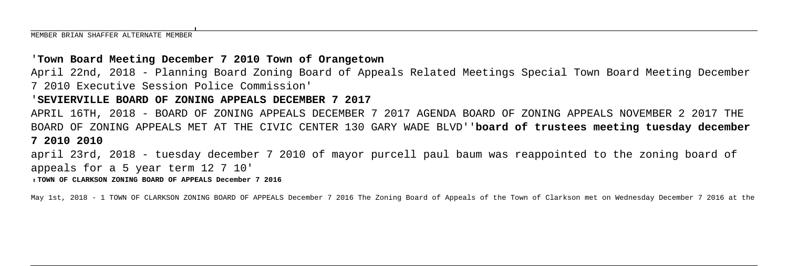## '**Town Board Meeting December 7 2010 Town of Orangetown**

April 22nd, 2018 - Planning Board Zoning Board of Appeals Related Meetings Special Town Board Meeting December 7 2010 Executive Session Police Commission'

#### '**SEVIERVILLE BOARD OF ZONING APPEALS DECEMBER 7 2017**

APRIL 16TH, 2018 - BOARD OF ZONING APPEALS DECEMBER 7 2017 AGENDA BOARD OF ZONING APPEALS NOVEMBER 2 2017 THE BOARD OF ZONING APPEALS MET AT THE CIVIC CENTER 130 GARY WADE BLVD''**board of trustees meeting tuesday december 7 2010 2010**

april 23rd, 2018 - tuesday december 7 2010 of mayor purcell paul baum was reappointed to the zoning board of appeals for a 5 year term 12 7 10'

'**TOWN OF CLARKSON ZONING BOARD OF APPEALS December 7 2016**

May 1st, 2018 - 1 TOWN OF CLARKSON ZONING BOARD OF APPEALS December 7 2016 The Zoning Board of Appeals of the Town of Clarkson met on Wednesday December 7 2016 at the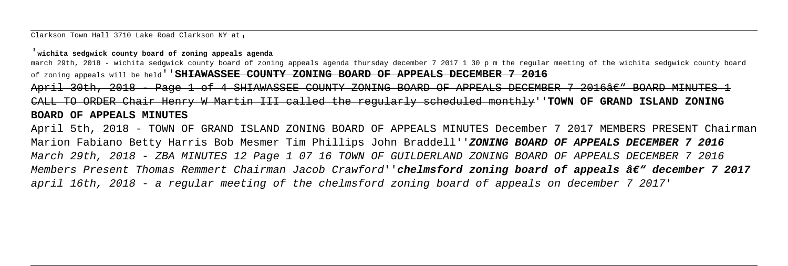Clarkson Town Hall 3710 Lake Road Clarkson NY at.

#### '**wichita sedgwick county board of zoning appeals agenda**

march 29th, 2018 - wichita sedgwick county board of zoning appeals agenda thursday december 7 2017 1 30 p m the regular meeting of the wichita sedgwick county board of zoning appeals will be held''**SHIAWASSEE COUNTY ZONING BOARD OF APPEALS DECEMBER 7 2016** April 30th, 2018 - Page 1 of 4 SHIAWASSEE COUNTY ZONING BOARD OF APPEALS DECEMBER 7 2016â€" BOARD MINUTES 1 CALL TO ORDER Chair Henry W Martin III called the regularly scheduled monthly''**TOWN OF GRAND ISLAND ZONING BOARD OF APPEALS MINUTES**

April 5th, 2018 - TOWN OF GRAND ISLAND ZONING BOARD OF APPEALS MINUTES December 7 2017 MEMBERS PRESENT Chairman Marion Fabiano Betty Harris Bob Mesmer Tim Phillips John Braddell''**ZONING BOARD OF APPEALS DECEMBER 7 2016** March 29th, 2018 - ZBA MINUTES 12 Page 1 07 16 TOWN OF GUILDERLAND ZONING BOARD OF APPEALS DECEMBER 7 2016 Members Present Thomas Remmert Chairman Jacob Crawford''**chelmsford zoning board of appeals â€" december 7 2017** april 16th, 2018 - a regular meeting of the chelmsford zoning board of appeals on december 7 2017'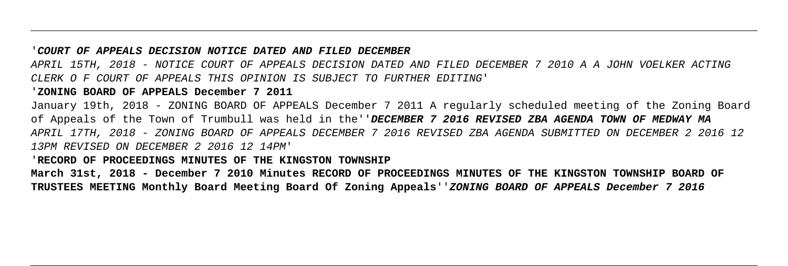#### '**COURT OF APPEALS DECISION NOTICE DATED AND FILED DECEMBER**

APRIL 15TH, 2018 - NOTICE COURT OF APPEALS DECISION DATED AND FILED DECEMBER 7 2010 A A JOHN VOELKER ACTING CLERK O F COURT OF APPEALS THIS OPINION IS SUBJECT TO FURTHER EDITING'

#### '**ZONING BOARD OF APPEALS December 7 2011**

January 19th, 2018 - ZONING BOARD OF APPEALS December 7 2011 A regularly scheduled meeting of the Zoning Board of Appeals of the Town of Trumbull was held in the''**DECEMBER 7 2016 REVISED ZBA AGENDA TOWN OF MEDWAY MA** APRIL 17TH, 2018 - ZONING BOARD OF APPEALS DECEMBER 7 2016 REVISED ZBA AGENDA SUBMITTED ON DECEMBER 2 2016 12 13PM REVISED ON DECEMBER 2 2016 12 14PM'

#### '**RECORD OF PROCEEDINGS MINUTES OF THE KINGSTON TOWNSHIP**

**March 31st, 2018 - December 7 2010 Minutes RECORD OF PROCEEDINGS MINUTES OF THE KINGSTON TOWNSHIP BOARD OF TRUSTEES MEETING Monthly Board Meeting Board Of Zoning Appeals**''**ZONING BOARD OF APPEALS December 7 2016**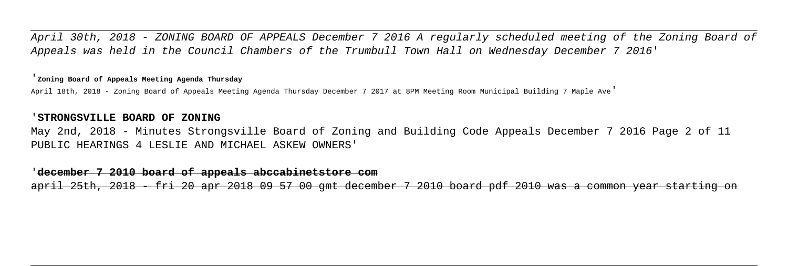April 30th, 2018 - ZONING BOARD OF APPEALS December 7 2016 A regularly scheduled meeting of the Zoning Board of Appeals was held in the Council Chambers of the Trumbull Town Hall on Wednesday December 7 2016'

#### '**Zoning Board of Appeals Meeting Agenda Thursday**

April 18th, 2018 - Zoning Board of Appeals Meeting Agenda Thursday December 7 2017 at 8PM Meeting Room Municipal Building 7 Maple Ave'

#### '**STRONGSVILLE BOARD OF ZONING**

May 2nd, 2018 - Minutes Strongsville Board of Zoning and Building Code Appeals December 7 2016 Page 2 of 11 PUBLIC HEARINGS 4 LESLIE AND MICHAEL ASKEW OWNERS'

#### '**december 7 2010 board of appeals abccabinetstore com**

april 25th, 2018 - fri 20 apr 2018 09 57 00 gmt december 7 2010 board pdf 2010 was a common year starting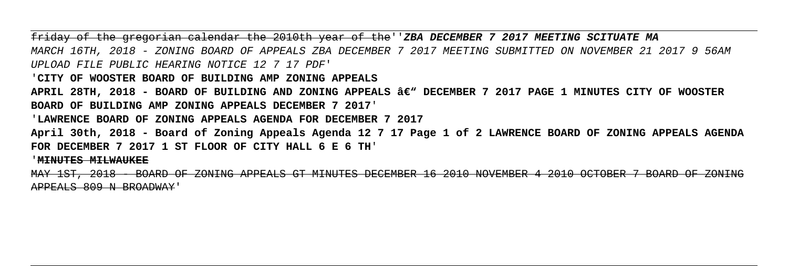friday of the gregorian calendar the 2010th year of the''**ZBA DECEMBER 7 2017 MEETING SCITUATE MA** MARCH 16TH, 2018 - ZONING BOARD OF APPEALS ZBA DECEMBER 7 2017 MEETING SUBMITTED ON NOVEMBER 21 2017 9 56AM UPLOAD FILE PUBLIC HEARING NOTICE 12 7 17 PDF'

'**CITY OF WOOSTER BOARD OF BUILDING AMP ZONING APPEALS**

APRIL 28TH, 2018 - BOARD OF BUILDING AND ZONING APPEALS â€<sup>w</sup> DECEMBER 7 2017 PAGE 1 MINUTES CITY OF WOOSTER **BOARD OF BUILDING AMP ZONING APPEALS DECEMBER 7 2017**'

'**LAWRENCE BOARD OF ZONING APPEALS AGENDA FOR DECEMBER 7 2017**

**April 30th, 2018 - Board of Zoning Appeals Agenda 12 7 17 Page 1 of 2 LAWRENCE BOARD OF ZONING APPEALS AGENDA FOR DECEMBER 7 2017 1 ST FLOOR OF CITY HALL 6 E 6 TH**'

'**MINUTES MILWAUKEE**

MAY 1ST, 2018 - BOARD OF ZONING APPEALS GT MINUTES DECEMBER 16 2010 NOVEMBER 4 2010 OCTOBER 7 BOARD OF ZONING APPEALS 809 N BROADWAY'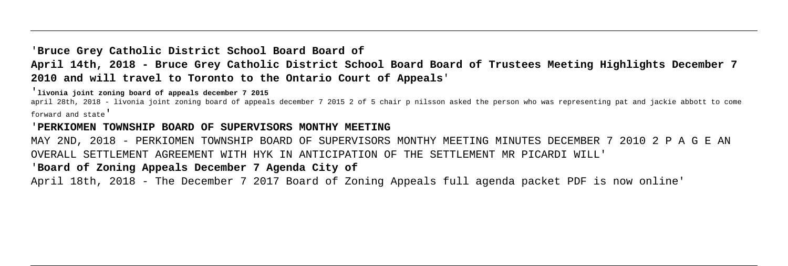# '**Bruce Grey Catholic District School Board Board of April 14th, 2018 - Bruce Grey Catholic District School Board Board of Trustees Meeting Highlights December 7 2010 and will travel to Toronto to the Ontario Court of Appeals**'

'**livonia joint zoning board of appeals december 7 2015**

april 28th, 2018 - livonia joint zoning board of appeals december 7 2015 2 of 5 chair p nilsson asked the person who was representing pat and jackie abbott to come forward and state'

#### '**PERKIOMEN TOWNSHIP BOARD OF SUPERVISORS MONTHY MEETING**

MAY 2ND, 2018 - PERKIOMEN TOWNSHIP BOARD OF SUPERVISORS MONTHY MEETING MINUTES DECEMBER 7 2010 2 P A G E AN OVERALL SETTLEMENT AGREEMENT WITH HYK IN ANTICIPATION OF THE SETTLEMENT MR PICARDI WILL'

# '**Board of Zoning Appeals December 7 Agenda City of**

April 18th, 2018 - The December 7 2017 Board of Zoning Appeals full agenda packet PDF is now online'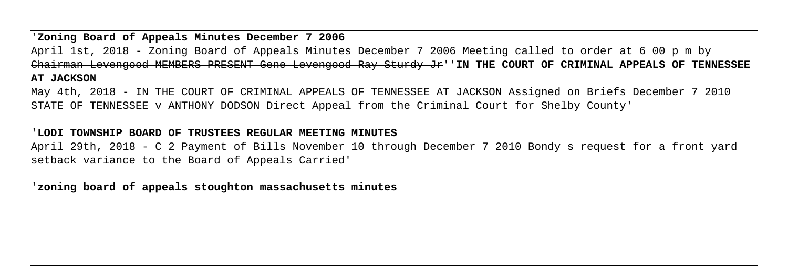#### '**Zoning Board of Appeals Minutes December 7 2006**

April 1st, 2018 - Zoning Board of Appeals Minutes December 7 2006 Meeting called to order at 6 00 p m by Chairman Levengood MEMBERS PRESENT Gene Levengood Ray Sturdy Jr''**IN THE COURT OF CRIMINAL APPEALS OF TENNESSEE AT JACKSON**

May 4th, 2018 - IN THE COURT OF CRIMINAL APPEALS OF TENNESSEE AT JACKSON Assigned on Briefs December 7 2010 STATE OF TENNESSEE v ANTHONY DODSON Direct Appeal from the Criminal Court for Shelby County'

### '**LODI TOWNSHIP BOARD OF TRUSTEES REGULAR MEETING MINUTES**

April 29th, 2018 - C 2 Payment of Bills November 10 through December 7 2010 Bondy s request for a front yard setback variance to the Board of Appeals Carried'

'**zoning board of appeals stoughton massachusetts minutes**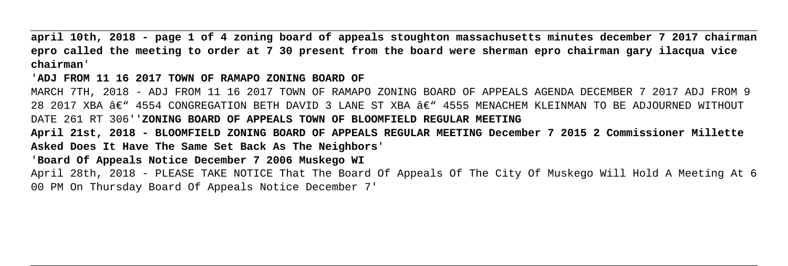**april 10th, 2018 - page 1 of 4 zoning board of appeals stoughton massachusetts minutes december 7 2017 chairman epro called the meeting to order at 7 30 present from the board were sherman epro chairman gary ilacqua vice chairman**'

'**ADJ FROM 11 16 2017 TOWN OF RAMAPO ZONING BOARD OF**

MARCH 7TH, 2018 - ADJ FROM 11 16 2017 TOWN OF RAMAPO ZONING BOARD OF APPEALS AGENDA DECEMBER 7 2017 ADJ FROM 9 28 2017 XBA  $A\in$  4554 CONGREGATION BETH DAVID 3 LANE ST XBA  $A\in$  4555 MENACHEM KLEINMAN TO BE ADJOURNED WITHOUT DATE 261 RT 306''**ZONING BOARD OF APPEALS TOWN OF BLOOMFIELD REGULAR MEETING April 21st, 2018 - BLOOMFIELD ZONING BOARD OF APPEALS REGULAR MEETING December 7 2015 2 Commissioner Millette Asked Does It Have The Same Set Back As The Neighbors**'

'**Board Of Appeals Notice December 7 2006 Muskego WI**

April 28th, 2018 - PLEASE TAKE NOTICE That The Board Of Appeals Of The City Of Muskego Will Hold A Meeting At 6 00 PM On Thursday Board Of Appeals Notice December 7'